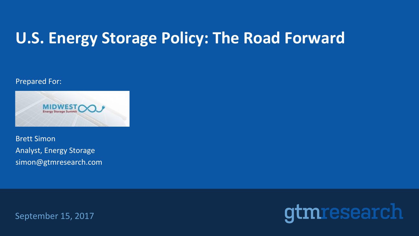# **U.S. Energy Storage Policy: The Road Forward**

#### Prepared For:



Analyst, Energy Storage simon@gtmresearch.com Brett Simon

September 15, 2017

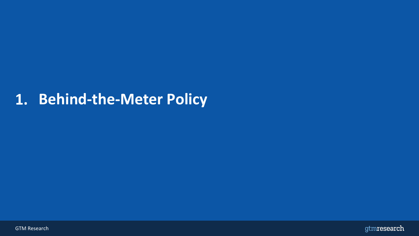## **1. Behind-the-Meter Policy**



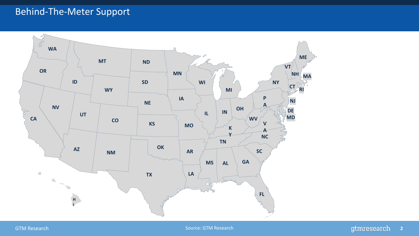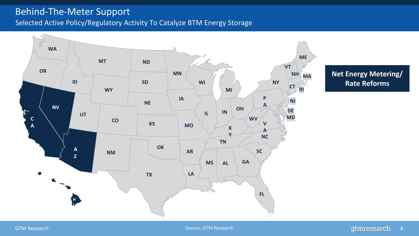Selected Active Policy/Regulatory Activity To Catalyze BTM Energy Storage



**Net Energy Metering/ Rate Reforms**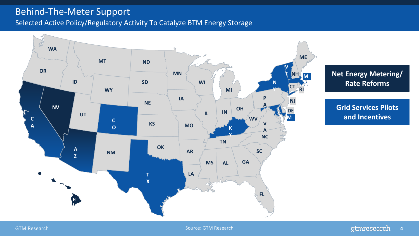Selected Active Policy/Regulatory Activity To Catalyze BTM Energy Storage



**Net Energy Metering/ Rate Reforms**

**Grid Services Pilots and Incentives**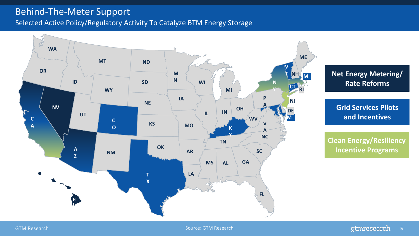Selected Active Policy/Regulatory Activity To Catalyze BTM Energy Storage

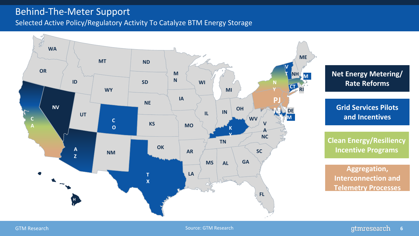Selected Active Policy/Regulatory Activity To Catalyze BTM Energy Storage

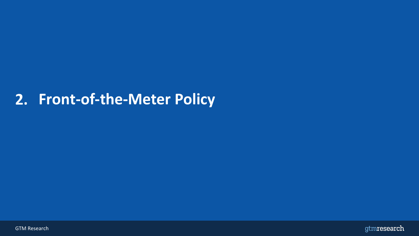### **2. Front-of-the-Meter Policy**



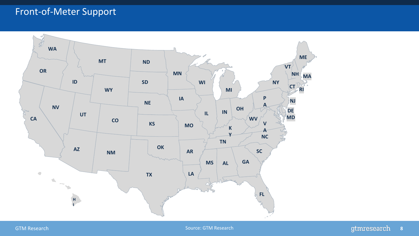### Front-of-Meter Support

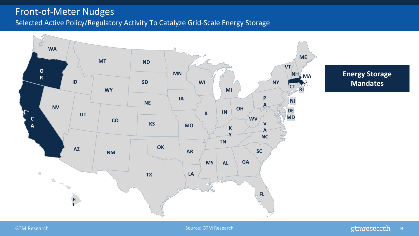### Front-of-Meter Nudges

Selected Active Policy/Regulatory Activity To Catalyze Grid-Scale Energy Storage

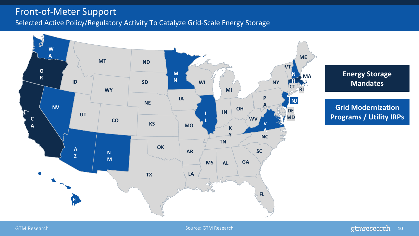### Front-of-Meter Support

Selected Active Policy/Regulatory Activity To Catalyze Grid-Scale Energy Storage



**Energy Storage Mandates**

**Grid Modernization Programs / Utility IRPs**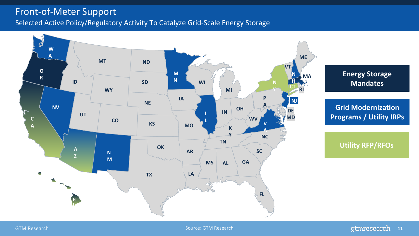### Front-of-Meter Support

Selected Active Policy/Regulatory Activity To Catalyze Grid-Scale Energy Storage

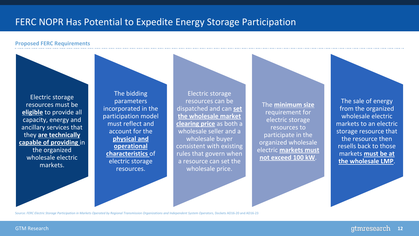### FERC NOPR Has Potential to Expedite Energy Storage Participation

#### **Proposed FERC Requirements**

![](_page_12_Picture_2.jpeg)

Source: *FERC Electric Storage Participation in Markets Operated by Regional Transmission Organizations and Independent System Operators*, Dockets AD16-20 and AD16-23